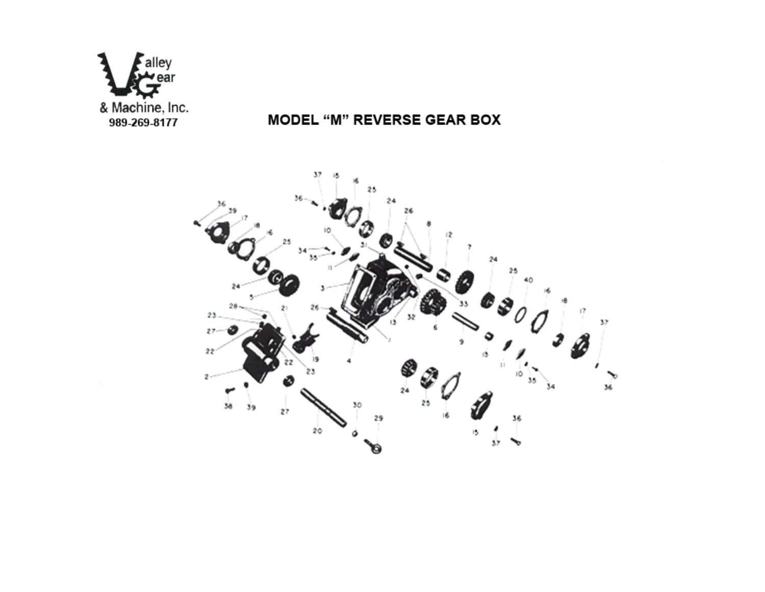

# MODEL "M" REVERSE GEAR BOX

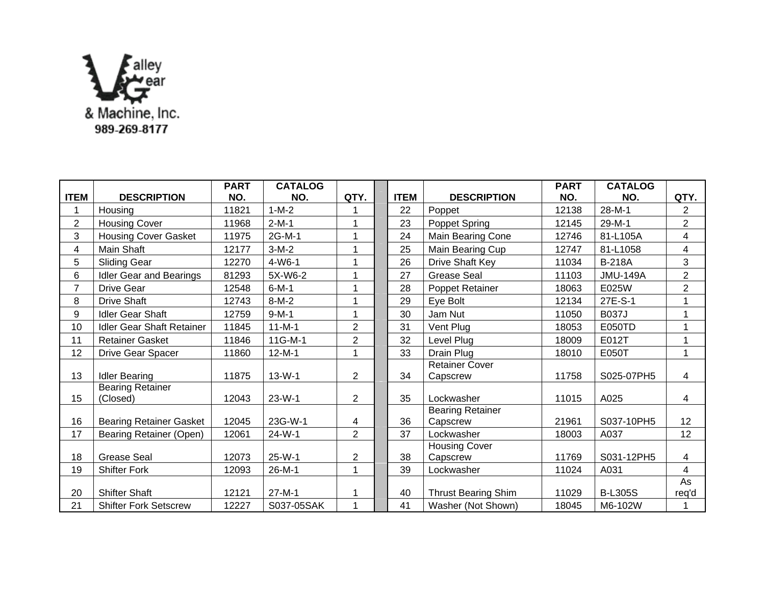

|                |                                  | <b>PART</b> | <b>CATALOG</b> |                |             |                                     | <b>PART</b> | <b>CATALOG</b>  |                 |
|----------------|----------------------------------|-------------|----------------|----------------|-------------|-------------------------------------|-------------|-----------------|-----------------|
| <b>ITEM</b>    | <b>DESCRIPTION</b>               | NO.         | NO.            | QTY.           | <b>ITEM</b> | <b>DESCRIPTION</b>                  | NO.         | NO.             | QTY.            |
|                | Housing                          | 11821       | $1 - M - 2$    |                | 22          | Poppet                              | 12138       | $28-M-1$        | $\overline{2}$  |
| $\overline{2}$ | <b>Housing Cover</b>             | 11968       | $2-M-1$        | 1              | 23          | Poppet Spring                       | 12145       | 29-M-1          | $\overline{2}$  |
| 3              | <b>Housing Cover Gasket</b>      | 11975       | 2G-M-1         | 1              | 24          | Main Bearing Cone                   | 12746       | 81-L105A        | 4               |
| 4              | Main Shaft                       | 12177       | $3-M-2$        | 1              | 25          | Main Bearing Cup                    | 12747       | 81-L1058        | $\overline{4}$  |
| 5              | <b>Sliding Gear</b>              | 12270       | $4 - W6 - 1$   | 1              | 26          | Drive Shaft Key                     | 11034       | <b>B-218A</b>   | 3               |
| 6              | <b>Idler Gear and Bearings</b>   | 81293       | 5X-W6-2        | 1              | 27          | <b>Grease Seal</b>                  | 11103       | <b>JMU-149A</b> | $\overline{2}$  |
| $\overline{7}$ | <b>Drive Gear</b>                | 12548       | $6 - M - 1$    | 1              | 28          | Poppet Retainer                     | 18063       | E025W           | $\overline{2}$  |
| 8              | <b>Drive Shaft</b>               | 12743       | $8-M-2$        | 1              | 29          | Eye Bolt                            | 12134       | 27E-S-1         | 1               |
| 9              | <b>Idler Gear Shaft</b>          | 12759       | $9-M-1$        | $\mathbf 1$    | 30          | Jam Nut                             | 11050       | <b>B037J</b>    | 1               |
| 10             | <b>Idler Gear Shaft Retainer</b> | 11845       | $11 - M - 1$   | $\overline{2}$ | 31          | Vent Plug                           | 18053       | E050TD          |                 |
| 11             | <b>Retainer Gasket</b>           | 11846       | 11G-M-1        | $\overline{2}$ | 32          | Level Plug                          | 18009       | E012T           |                 |
| 12             | Drive Gear Spacer                | 11860       | $12-M-1$       | 1              | 33          | Drain Plug                          | 18010       | E050T           | 1               |
|                |                                  |             |                |                |             | <b>Retainer Cover</b>               |             |                 |                 |
| 13             | <b>Idler Bearing</b>             | 11875       | $13-W-1$       | $\overline{2}$ | 34          | Capscrew                            | 11758       | S025-07PH5      | 4               |
|                | <b>Bearing Retainer</b>          |             |                |                |             |                                     |             |                 |                 |
| 15             | (Closed)                         | 12043       | $23-W-1$       | $\overline{2}$ | 35          | Lockwasher                          | 11015       | A025            | 4               |
| 16             |                                  | 12045       | 23G-W-1        |                | 36          | <b>Bearing Retainer</b><br>Capscrew | 21961       | S037-10PH5      | 12 <sup>2</sup> |
|                | <b>Bearing Retainer Gasket</b>   |             |                | 4              |             |                                     |             |                 |                 |
| 17             | Bearing Retainer (Open)          | 12061       | 24-W-1         | $\overline{2}$ | 37          | Lockwasher                          | 18003       | A037            | 12              |
| 18             | <b>Grease Seal</b>               | 12073       | $25-W-1$       | $\overline{c}$ | 38          | <b>Housing Cover</b><br>Capscrew    | 11769       | S031-12PH5      | 4               |
| 19             | <b>Shifter Fork</b>              | 12093       | 26-M-1         | 1              | 39          | Lockwasher                          | 11024       | A031            | $\overline{4}$  |
|                |                                  |             |                |                |             |                                     |             |                 | As              |
| 20             | <b>Shifter Shaft</b>             | 12121       | $27-M-1$       | 1              | 40          | <b>Thrust Bearing Shim</b>          | 11029       | <b>B-L305S</b>  | req'd           |
| 21             | <b>Shifter Fork Setscrew</b>     | 12227       | S037-05SAK     | 1              | 41          | Washer (Not Shown)                  | 18045       | M6-102W         |                 |